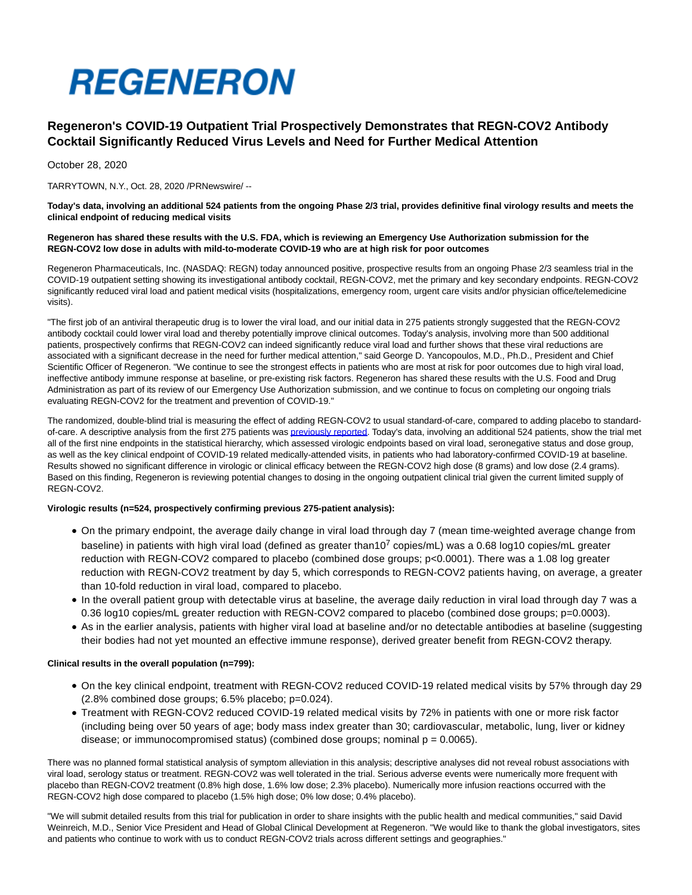

# **Regeneron's COVID-19 Outpatient Trial Prospectively Demonstrates that REGN-COV2 Antibody Cocktail Significantly Reduced Virus Levels and Need for Further Medical Attention**

October 28, 2020

TARRYTOWN, N.Y., Oct. 28, 2020 /PRNewswire/ --

**Today's data, involving an additional 524 patients from the ongoing Phase 2/3 trial, provides definitive final virology results and meets the clinical endpoint of reducing medical visits**

#### **Regeneron has shared these results with the U.S. FDA, which is reviewing an Emergency Use Authorization submission for the REGN-COV2 low dose in adults with mild-to-moderate COVID-19 who are at high risk for poor outcomes**

Regeneron Pharmaceuticals, Inc. (NASDAQ: REGN) today announced positive, prospective results from an ongoing Phase 2/3 seamless trial in the COVID-19 outpatient setting showing its investigational antibody cocktail, REGN-COV2, met the primary and key secondary endpoints. REGN-COV2 significantly reduced viral load and patient medical visits (hospitalizations, emergency room, urgent care visits and/or physician office/telemedicine visits).

"The first job of an antiviral therapeutic drug is to lower the viral load, and our initial data in 275 patients strongly suggested that the REGN-COV2 antibody cocktail could lower viral load and thereby potentially improve clinical outcomes. Today's analysis, involving more than 500 additional patients, prospectively confirms that REGN-COV2 can indeed significantly reduce viral load and further shows that these viral reductions are associated with a significant decrease in the need for further medical attention," said George D. Yancopoulos, M.D., Ph.D., President and Chief Scientific Officer of Regeneron. "We continue to see the strongest effects in patients who are most at risk for poor outcomes due to high viral load, ineffective antibody immune response at baseline, or pre-existing risk factors. Regeneron has shared these results with the U.S. Food and Drug Administration as part of its review of our Emergency Use Authorization submission, and we continue to focus on completing our ongoing trials evaluating REGN-COV2 for the treatment and prevention of COVID-19."

The randomized, double-blind trial is measuring the effect of adding REGN-COV2 to usual standard-of-care, compared to adding placebo to standardof-care. A descriptive analysis from the first 275 patients wa[s previously reported.](https://c212.net/c/link/?t=0&l=en&o=2965158-1&h=293367592&u=https%3A%2F%2Finvestor.regeneron.com%2Fnews-releases%2Fnews-release-details%2Fregenerons-regn-cov2-antibody-cocktail-reduced-viral-levels-and&a=previously+reported) Today's data, involving an additional 524 patients, show the trial met all of the first nine endpoints in the statistical hierarchy, which assessed virologic endpoints based on viral load, seronegative status and dose group, as well as the key clinical endpoint of COVID-19 related medically-attended visits, in patients who had laboratory-confirmed COVID-19 at baseline. Results showed no significant difference in virologic or clinical efficacy between the REGN-COV2 high dose (8 grams) and low dose (2.4 grams). Based on this finding, Regeneron is reviewing potential changes to dosing in the ongoing outpatient clinical trial given the current limited supply of REGN-COV2.

## **Virologic results (n=524, prospectively confirming previous 275-patient analysis):**

- On the primary endpoint, the average daily change in viral load through day 7 (mean time-weighted average change from baseline) in patients with high viral load (defined as greater than10<sup>7</sup> copies/mL) was a 0.68 log10 copies/mL greater reduction with REGN-COV2 compared to placebo (combined dose groups; p<0.0001). There was a 1.08 log greater reduction with REGN-COV2 treatment by day 5, which corresponds to REGN-COV2 patients having, on average, a greater than 10-fold reduction in viral load, compared to placebo.
- In the overall patient group with detectable virus at baseline, the average daily reduction in viral load through day 7 was a 0.36 log10 copies/mL greater reduction with REGN-COV2 compared to placebo (combined dose groups; p=0.0003).
- As in the earlier analysis, patients with higher viral load at baseline and/or no detectable antibodies at baseline (suggesting their bodies had not yet mounted an effective immune response), derived greater benefit from REGN-COV2 therapy.

# **Clinical results in the overall population (n=799):**

- On the key clinical endpoint, treatment with REGN-COV2 reduced COVID-19 related medical visits by 57% through day 29 (2.8% combined dose groups; 6.5% placebo; p=0.024).
- Treatment with REGN-COV2 reduced COVID-19 related medical visits by 72% in patients with one or more risk factor (including being over 50 years of age; body mass index greater than 30; cardiovascular, metabolic, lung, liver or kidney disease; or immunocompromised status) (combined dose groups; nominal  $p = 0.0065$ ).

There was no planned formal statistical analysis of symptom alleviation in this analysis; descriptive analyses did not reveal robust associations with viral load, serology status or treatment. REGN-COV2 was well tolerated in the trial. Serious adverse events were numerically more frequent with placebo than REGN-COV2 treatment (0.8% high dose, 1.6% low dose; 2.3% placebo). Numerically more infusion reactions occurred with the REGN-COV2 high dose compared to placebo (1.5% high dose; 0% low dose; 0.4% placebo).

"We will submit detailed results from this trial for publication in order to share insights with the public health and medical communities," said David Weinreich, M.D., Senior Vice President and Head of Global Clinical Development at Regeneron. "We would like to thank the global investigators, sites and patients who continue to work with us to conduct REGN-COV2 trials across different settings and geographies."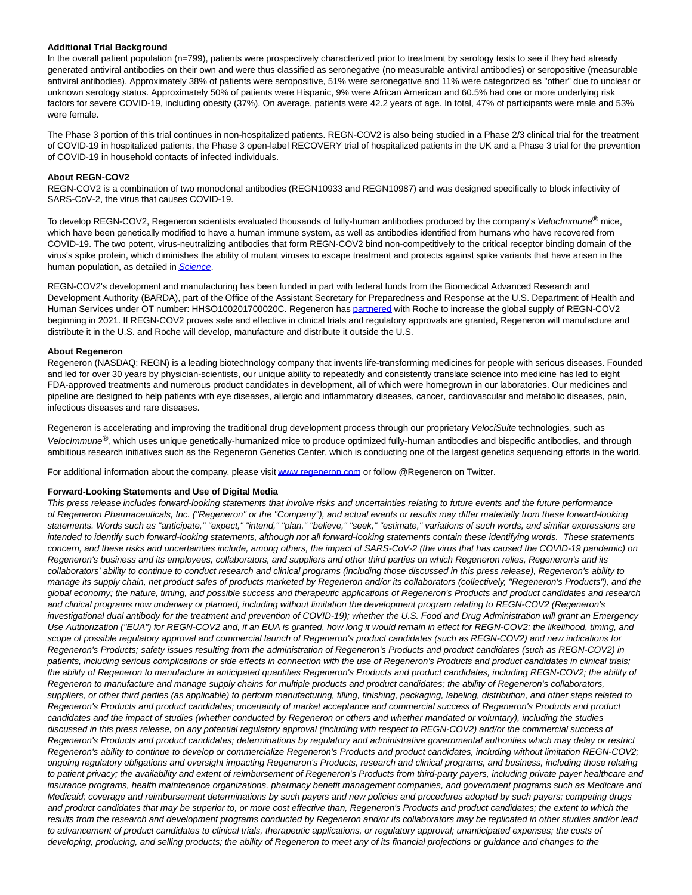### **Additional Trial Background**

In the overall patient population (n=799), patients were prospectively characterized prior to treatment by serology tests to see if they had already generated antiviral antibodies on their own and were thus classified as seronegative (no measurable antiviral antibodies) or seropositive (measurable antiviral antibodies). Approximately 38% of patients were seropositive, 51% were seronegative and 11% were categorized as "other" due to unclear or unknown serology status. Approximately 50% of patients were Hispanic, 9% were African American and 60.5% had one or more underlying risk factors for severe COVID-19, including obesity (37%). On average, patients were 42.2 years of age. In total, 47% of participants were male and 53% were female.

The Phase 3 portion of this trial continues in non-hospitalized patients. REGN-COV2 is also being studied in a Phase 2/3 clinical trial for the treatment of COVID-19 in hospitalized patients, the Phase 3 open-label RECOVERY trial of hospitalized patients in the UK and a Phase 3 trial for the prevention of COVID-19 in household contacts of infected individuals.

#### **About REGN-COV2**

REGN-COV2 is a combination of two monoclonal antibodies (REGN10933 and REGN10987) and was designed specifically to block infectivity of SARS-CoV-2, the virus that causes COVID-19.

To develop REGN-COV2, Regeneron scientists evaluated thousands of fully-human antibodies produced by the company's VelocImmune<sup>®</sup> mice, which have been genetically modified to have a human immune system, as well as antibodies identified from humans who have recovered from COVID-19. The two potent, virus-neutralizing antibodies that form REGN-COV2 bind non-competitively to the critical receptor binding domain of the virus's spike protein, which diminishes the ability of mutant viruses to escape treatment and protects against spike variants that have arisen in the human population, as detailed in [Science](https://c212.net/c/link/?t=0&l=en&o=2965158-1&h=886451974&u=https%3A%2F%2Finvestor.regeneron.com%2Fnews-releases%2Fnews-release-details%2Ftwo-science-publications-highlight-potential-regn-cov2-anti&a=Science).

REGN-COV2's development and manufacturing has been funded in part with federal funds from the Biomedical Advanced Research and Development Authority (BARDA), part of the Office of the Assistant Secretary for Preparedness and Response at the U.S. Department of Health and Human Services under OT number: HHSO100201700020C. Regeneron ha[s partnered w](https://c212.net/c/link/?t=0&l=en&o=2965158-1&h=778459562&u=https%3A%2F%2Finvestor.regeneron.com%2Fnews-releases%2Fnews-release-details%2Fregeneron-and-roche-collaborate-significantly-increase-global&a=partnered)ith Roche to increase the global supply of REGN-COV2 beginning in 2021. If REGN-COV2 proves safe and effective in clinical trials and regulatory approvals are granted, Regeneron will manufacture and distribute it in the U.S. and Roche will develop, manufacture and distribute it outside the U.S.

#### **About Regeneron**

Regeneron (NASDAQ: REGN) is a leading biotechnology company that invents life-transforming medicines for people with serious diseases. Founded and led for over 30 years by physician-scientists, our unique ability to repeatedly and consistently translate science into medicine has led to eight FDA-approved treatments and numerous product candidates in development, all of which were homegrown in our laboratories. Our medicines and pipeline are designed to help patients with eye diseases, allergic and inflammatory diseases, cancer, cardiovascular and metabolic diseases, pain, infectious diseases and rare diseases.

Regeneron is accelerating and improving the traditional drug development process through our proprietary VelociSuite technologies, such as VelocImmune<sup>®</sup>, which uses unique genetically-humanized mice to produce optimized fully-human antibodies and bispecific antibodies, and through ambitious research initiatives such as the Regeneron Genetics Center, which is conducting one of the largest genetics sequencing efforts in the world.

For additional information about the company, please visi[t www.regeneron.com o](https://c212.net/c/link/?t=0&l=en&o=2965158-1&h=1766599282&u=http%3A%2F%2Fwww.regeneron.com%2F&a=www.regeneron.com)r follow @Regeneron on Twitter.

#### **Forward-Looking Statements and Use of Digital Media**

This press release includes forward-looking statements that involve risks and uncertainties relating to future events and the future performance of Regeneron Pharmaceuticals, Inc. ("Regeneron" or the "Company"), and actual events or results may differ materially from these forward-looking statements. Words such as "anticipate," "expect," "intend," "plan," "believe," "seek," "estimate," variations of such words, and similar expressions are intended to identify such forward-looking statements, although not all forward-looking statements contain these identifying words. These statements concern, and these risks and uncertainties include, among others, the impact of SARS-CoV-2 (the virus that has caused the COVID-19 pandemic) on Regeneron's business and its employees, collaborators, and suppliers and other third parties on which Regeneron relies, Regeneron's and its collaborators' ability to continue to conduct research and clinical programs (including those discussed in this press release), Regeneron's ability to manage its supply chain, net product sales of products marketed by Regeneron and/or its collaborators (collectively, "Regeneron's Products"), and the global economy; the nature, timing, and possible success and therapeutic applications of Regeneron's Products and product candidates and research and clinical programs now underway or planned, including without limitation the development program relating to REGN-COV2 (Regeneron's investigational dual antibody for the treatment and prevention of COVID-19); whether the U.S. Food and Drug Administration will grant an Emergency Use Authorization ("EUA") for REGN-COV2 and, if an EUA is granted, how long it would remain in effect for REGN-COV2; the likelihood, timing, and scope of possible regulatory approval and commercial launch of Regeneron's product candidates (such as REGN-COV2) and new indications for Regeneron's Products; safety issues resulting from the administration of Regeneron's Products and product candidates (such as REGN-COV2) in patients, including serious complications or side effects in connection with the use of Regeneron's Products and product candidates in clinical trials; the ability of Regeneron to manufacture in anticipated quantities Regeneron's Products and product candidates, including REGN-COV2; the ability of Regeneron to manufacture and manage supply chains for multiple products and product candidates; the ability of Regeneron's collaborators, suppliers, or other third parties (as applicable) to perform manufacturing, filling, finishing, packaging, labeling, distribution, and other steps related to Regeneron's Products and product candidates; uncertainty of market acceptance and commercial success of Regeneron's Products and product candidates and the impact of studies (whether conducted by Regeneron or others and whether mandated or voluntary), including the studies discussed in this press release, on any potential regulatory approval (including with respect to REGN-COV2) and/or the commercial success of Regeneron's Products and product candidates; determinations by regulatory and administrative governmental authorities which may delay or restrict Regeneron's ability to continue to develop or commercialize Regeneron's Products and product candidates, including without limitation REGN-COV2; ongoing regulatory obligations and oversight impacting Regeneron's Products, research and clinical programs, and business, including those relating to patient privacy; the availability and extent of reimbursement of Regeneron's Products from third-party payers, including private payer healthcare and insurance programs, health maintenance organizations, pharmacy benefit management companies, and government programs such as Medicare and Medicaid; coverage and reimbursement determinations by such payers and new policies and procedures adopted by such payers; competing drugs and product candidates that may be superior to, or more cost effective than, Regeneron's Products and product candidates; the extent to which the results from the research and development programs conducted by Regeneron and/or its collaborators may be replicated in other studies and/or lead to advancement of product candidates to clinical trials, therapeutic applications, or regulatory approval; unanticipated expenses; the costs of developing, producing, and selling products; the ability of Regeneron to meet any of its financial projections or guidance and changes to the